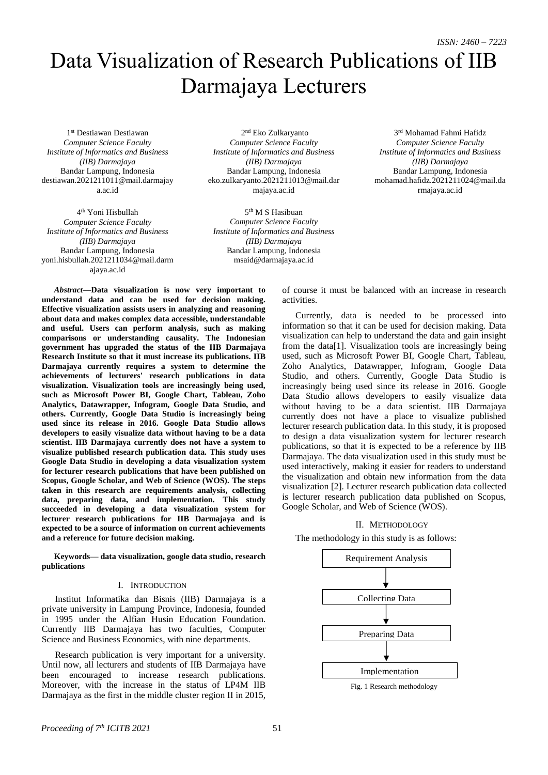# Data Visualization of Research Publications of IIB Darmajaya Lecturers

1 st Destiawan Destiawan *Computer Science Faculty Institute of Informatics and Business (IIB) Darmajaya* Bandar Lampung, Indonesia destiawan.2021211011@mail.darmajay a.ac.id

4 th Yoni Hisbullah *Computer Science Faculty Institute of Informatics and Business (IIB) Darmajaya* Bandar Lampung, Indonesia yoni.hisbullah.2021211034@mail.darm ajaya.ac.id

2 nd Eko Zulkaryanto *Computer Science Faculty Institute of Informatics and Business (IIB) Darmajaya* Bandar Lampung, Indonesia eko.zulkaryanto.2021211013@mail.dar majaya.ac.id

*Institute of Informatics and Business (IIB) Darmajaya* Bandar Lampung, Indonesia msaid@darmajaya.ac.id 5 th M S Hasibuan *Computer Science Faculty*

3 rd Mohamad Fahmi Hafidz *Computer Science Faculty Institute of Informatics and Business (IIB) Darmajaya* Bandar Lampung, Indonesia mohamad.hafidz.2021211024@mail.da rmajaya.ac.id

*Abstract***—Data visualization is now very important to understand data and can be used for decision making. Effective visualization assists users in analyzing and reasoning about data and makes complex data accessible, understandable and useful. Users can perform analysis, such as making comparisons or understanding causality. The Indonesian government has upgraded the status of the IIB Darmajaya Research Institute so that it must increase its publications. IIB Darmajaya currently requires a system to determine the achievements of lecturers' research publications in data visualization. Visualization tools are increasingly being used, such as Microsoft Power BI, Google Chart, Tableau, Zoho Analytics, Datawrapper, Infogram, Google Data Studio, and others. Currently, Google Data Studio is increasingly being used since its release in 2016. Google Data Studio allows developers to easily visualize data without having to be a data scientist. IIB Darmajaya currently does not have a system to visualize published research publication data. This study uses Google Data Studio in developing a data visualization system for lecturer research publications that have been published on Scopus, Google Scholar, and Web of Science (WOS). The steps taken in this research are requirements analysis, collecting data, preparing data, and implementation. This study succeeded in developing a data visualization system for lecturer research publications for IIB Darmajaya and is expected to be a source of information on current achievements and a reference for future decision making.** 

**Keywords— data visualization, google data studio, research publications**

#### I. INTRODUCTION

Institut Informatika dan Bisnis (IIB) Darmajaya is a private university in Lampung Province, Indonesia, founded in 1995 under the Alfian Husin Education Foundation. Currently IIB Darmajaya has two faculties, Computer Science and Business Economics, with nine departments.

Research publication is very important for a university. Until now, all lecturers and students of IIB Darmajaya have been encouraged to increase research publications. Moreover, with the increase in the status of LP4M IIB Darmajaya as the first in the middle cluster region II in 2015,

of course it must be balanced with an increase in research activities.

Currently, data is needed to be processed into information so that it can be used for decision making. Data visualization can help to understand the data and gain insight from the data[1]. Visualization tools are increasingly being used, such as Microsoft Power BI, Google Chart, Tableau, Zoho Analytics, Datawrapper, Infogram, Google Data Studio, and others. Currently, Google Data Studio is increasingly being used since its release in 2016. Google Data Studio allows developers to easily visualize data without having to be a data scientist. IIB Darmajaya currently does not have a place to visualize published lecturer research publication data. In this study, it is proposed to design a data visualization system for lecturer research publications, so that it is expected to be a reference by IIB Darmajaya. The data visualization used in this study must be used interactively, making it easier for readers to understand the visualization and obtain new information from the data visualization [2]. Lecturer research publication data collected is lecturer research publication data published on Scopus, Google Scholar, and Web of Science (WOS).

#### II. METHODOLOGY

The methodology in this study is as follows:



Fig. 1 Research methodology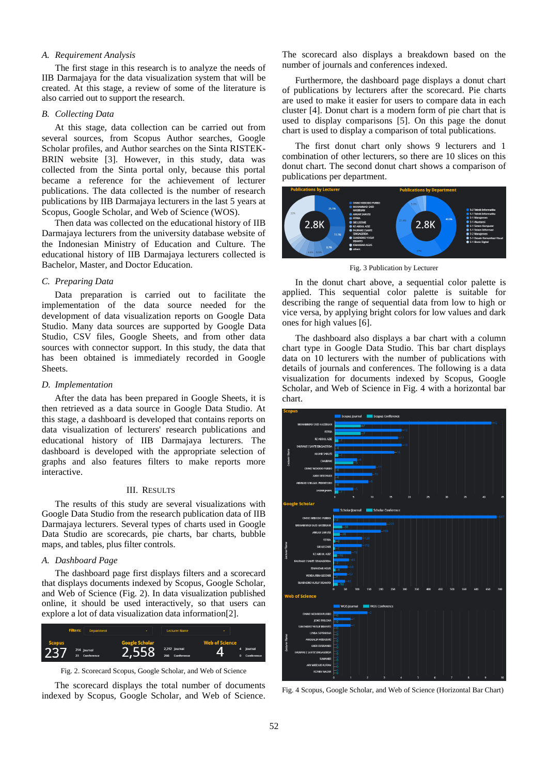#### *A. Requirement Analysis*

The first stage in this research is to analyze the needs of IIB Darmajaya for the data visualization system that will be created. At this stage, a review of some of the literature is also carried out to support the research.

## *B. Collecting Data*

At this stage, data collection can be carried out from several sources, from Scopus Author searches, Google Scholar profiles, and Author searches on the Sinta RISTEK-BRIN website [3]. However, in this study, data was collected from the Sinta portal only, because this portal became a reference for the achievement of lecturer publications. The data collected is the number of research publications by IIB Darmajaya lecturers in the last 5 years at Scopus, Google Scholar, and Web of Science (WOS).

Then data was collected on the educational history of IIB Darmajaya lecturers from the university database website of the Indonesian Ministry of Education and Culture. The educational history of IIB Darmajaya lecturers collected is Bachelor, Master, and Doctor Education.

## *C. Preparing Data*

Data preparation is carried out to facilitate the implementation of the data source needed for the development of data visualization reports on Google Data Studio. Many data sources are supported by Google Data Studio, CSV files, Google Sheets, and from other data sources with connector support. In this study, the data that has been obtained is immediately recorded in Google Sheets.

#### *D. Implementation*

After the data has been prepared in Google Sheets, it is then retrieved as a data source in Google Data Studio. At this stage, a dashboard is developed that contains reports on data visualization of lecturers' research publications and educational history of IIB Darmajaya lecturers. The dashboard is developed with the appropriate selection of graphs and also features filters to make reports more interactive.

#### III. RESULTS

The results of this study are several visualizations with Google Data Studio from the research publication data of IIB Darmajaya lecturers. Several types of charts used in Google Data Studio are scorecards, pie charts, bar charts, bubble maps, and tables, plus filter controls.

## *A. Dashboard Page*

The dashboard page first displays filters and a scorecard that displays documents indexed by Scopus, Google Scholar, and Web of Science (Fig. 2). In data visualization published online, it should be used interactively, so that users can explore a lot of data visualization data information[2].



Fig. 2. Scorecard Scopus, Google Scholar, and Web of Science

The scorecard displays the total number of documents indexed by Scopus, Google Scholar, and Web of Science.

The scorecard also displays a breakdown based on the number of journals and conferences indexed.

Furthermore, the dashboard page displays a donut chart of publications by lecturers after the scorecard. Pie charts are used to make it easier for users to compare data in each cluster [4]. Donut chart is a modern form of pie chart that is used to display comparisons [5]. On this page the donut chart is used to display a comparison of total publications.

The first donut chart only shows 9 lecturers and 1 combination of other lecturers, so there are 10 slices on this donut chart. The second donut chart shows a comparison of publications per department.



Fig. 3 Publication by Lecturer

In the donut chart above, a sequential color palette is applied. This sequential color palette is suitable for describing the range of sequential data from low to high or vice versa, by applying bright colors for low values and dark ones for high values [6].

The dashboard also displays a bar chart with a column chart type in Google Data Studio. This bar chart displays data on 10 lecturers with the number of publications with details of journals and conferences. The following is a data visualization for documents indexed by Scopus, Google Scholar, and Web of Science in Fig. 4 with a horizontal bar chart.



Fig. 4 Scopus, Google Scholar, and Web of Science (Horizontal Bar Chart)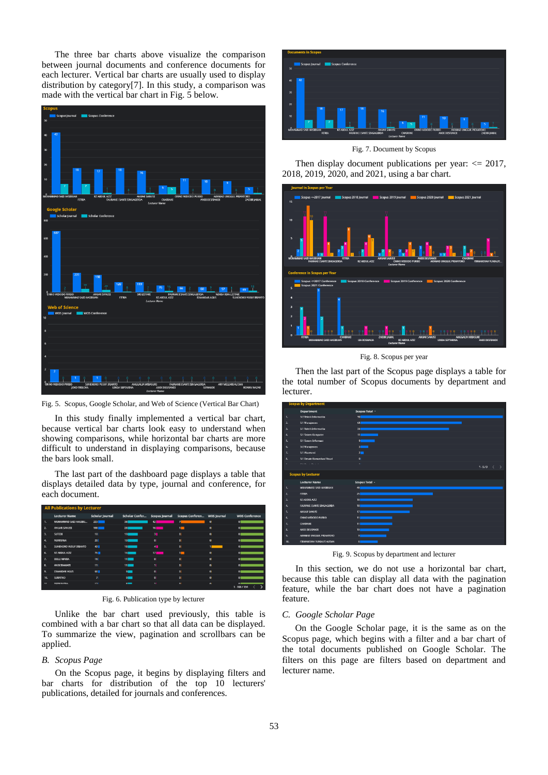The three bar charts above visualize the comparison between journal documents and conference documents for each lecturer. Vertical bar charts are usually used to display distribution by category[7]. In this study, a comparison was made with the vertical bar chart in Fig. 5 below.



Fig. 5. Scopus, Google Scholar, and Web of Science (Vertical Bar Chart)

In this study finally implemented a vertical bar chart, because vertical bar charts look easy to understand when showing comparisons, while horizontal bar charts are more difficult to understand in displaying comparisons, because the bars look small.

The last part of the dashboard page displays a table that displays detailed data by type, journal and conference, for each document.

|                      | <b>Lecturer Name</b>   | Scholar Journal | Scholar Confer  | <b>Scopus Journal</b> | Scopus Conferen WOS Journal |        | <b>WOS Conference</b> |
|----------------------|------------------------|-----------------|-----------------|-----------------------|-----------------------------|--------|-----------------------|
| 1.                   | MUHAMMAD SAID HASIBU   | 223             | 38              | 42                    | 71                          | 0      | 0 <sup>1</sup>        |
| $\mathbf{z}$         | ANUAR SANUST           | 198             | 28              | 16 <sup>1</sup>       | <b>IM</b>                   | 0      | 0 <sup>1</sup>        |
| $\overline{3}$       | <b>SUTEDI</b>          | 10 <sup>1</sup> | 19 <sup>1</sup> | 31                    | $\bullet$                   | 0      | 01                    |
| А                    | <b>NURFLANA</b>        | 20 <sub>1</sub> | 19 <sup>1</sup> | $\bullet$             | $\mathbf{O}$                | 0      | $\overline{0}$        |
| s.                   | SUHENDRO YUSUF IRIANTO | 49 <b>H</b>     | 18              | 4 <sup>1</sup>        | $\mathbf{O}$                |        | $\overline{0}$        |
| 6                    | RZ ABDUL AZIZ          | 76              | 16              | 17 <sub>1</sub>       | $\blacksquare$              | 0      | $\overline{0}$        |
| $\overline{z}$       | <b>DELLI MARIA</b>     | 16              | 11              | $\bullet$             | $\bullet$                   | 0      | 0 <sup>T</sup>        |
| R.                   | ANIK IRAWATI           | 111             | $\mathbf{m}$    | $\mathbf{u}$          | $\bullet$                   | 0      | $\overline{0}$        |
| $\mathbf{Q}$         | <b>ISNANDAR AGUS</b>   | 60 <sub>m</sub> | $9 -$           | $\bullet$             | $\mathbf{O}$                | 0      | $\overline{0}$        |
| 10.                  | <b>SURATNO</b>         | $\overline{z}$  | $9 -$           | $\bullet$             | $\mathbf{o}$                | 0      | $\overline{0}$        |
| $\ddot{\phantom{a}}$ | DEDI BITRA             | 4.75            | $\sim$          | $\mathbf{a}$          | $\sim$                      | $\sim$ | n*<br>$1 - 100 / 154$ |

Fig. 6. Publication type by lecturer

Unlike the bar chart used previously, this table is combined with a bar chart so that all data can be displayed. To summarize the view, pagination and scrollbars can be applied.

#### *B. Scopus Page*

On the Scopus page, it begins by displaying filters and bar charts for distribution of the top 10 lecturers' publications, detailed for journals and conferences.



Fig. 7. Document by Scopus

Then display document publications per year:  $\epsilon$  = 2017, 2018, 2019, 2020, and 2021, using a bar chart.



Fig. 8. Scopus per year

Then the last part of the Scopus page displays a table for the total number of Scopus documents by department and lecturer.

|    | scopus by Department         |                         |                                  |  |
|----|------------------------------|-------------------------|----------------------------------|--|
|    | <b>Department</b>            | Scopus Total +          |                                  |  |
| 1. | 5-2 Teknik Informatika       | 90                      |                                  |  |
| 2. | 5-1 Manajemen                | 64                      |                                  |  |
| 3. | S-1 Teknik Informatika       | 56                      |                                  |  |
| 4. | <b>S-1 Sistem Komputer</b>   | 11                      |                                  |  |
| 5. | S-1 Sistem Informasi         | 91                      |                                  |  |
| 6. | 5-2 Manajemen                | 51                      |                                  |  |
| 7. | S-1 Akuntansi                | $2 \blacksquare$        |                                  |  |
| a. | 5-1 Desain Komunikasi Visual | 0                       |                                  |  |
|    | <b>Administration</b>        | ä.                      | $1 - 9/9$ $\lt$<br>$\rightarrow$ |  |
|    | <b>Scopus by Lecturer</b>    |                         |                                  |  |
|    | <b>Lecturer Name</b>         | Scopus Total +          |                                  |  |
| 1. | MUHAMMAD SAID HASTBUAN       | 49                      |                                  |  |
| 2. | <b>FITRIA</b>                | 251                     |                                  |  |
| 3. | RZ ABDUL AZIZ                | 18                      |                                  |  |
| 4. | FAURANI I SANTI SINGAGERDA   | 18                      |                                  |  |
| 5. | ANLIAR SANUST                | 17 <sub>1</sub>         |                                  |  |
| 6. | ONNO WIDODO PURBO            | 111                     |                                  |  |
|    |                              | $\overline{\mathbf{u}}$ |                                  |  |
| 7. | CHAIRANI                     |                         |                                  |  |
| 8. | ANDI DESFIANDI               | 10                      |                                  |  |
| 9. | AKHMAD UNGGUL PRIANTORO      | 9                       |                                  |  |

Fig. 9. Scopus by department and lecturer

In this section, we do not use a horizontal bar chart, because this table can display all data with the pagination feature, while the bar chart does not have a pagination feature.

## *C. Google Scholar Page*

On the Google Scholar page, it is the same as on the Scopus page, which begins with a filter and a bar chart of the total documents published on Google Scholar. The filters on this page are filters based on department and lecturer name.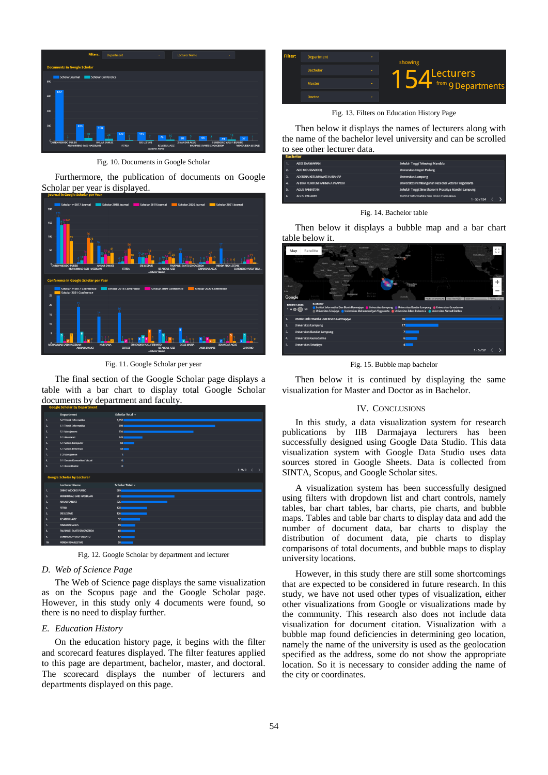

Fig. 10. Documents in Google Scholar

Furthermore, the publication of documents on Google Scholar per year is displayed.



Fig. 11. Google Scholar per year

The final section of the Google Scholar page displays a table with a bar chart to display total Google Scholar documents by department and faculty.

|                         | <b>Department</b>                 | Scholar Total -             |               |
|-------------------------|-----------------------------------|-----------------------------|---------------|
| ٦.                      | S-2 Teknik Informatika            | 1,0521                      |               |
| $\mathbf{z}$            | 5-1 Teknik Informatika            | 6981                        |               |
| $\mathbf{a}$            | S-1 Manajemen                     | 534                         |               |
| $\blacktriangle$        | S-1 Akuntansi                     | 1451                        |               |
| s.                      | S-1 Sistem Komputer               | 841                         |               |
| 6.                      | S-1 Sistem Informasi              | 44 <sub>1</sub>             |               |
| 7.                      | S-2 Manajemen                     | $\overline{1}$              |               |
| $\mathbf{a}$            | 5-1 Desain Komunikasi Visual      | 0                           |               |
| $\mathbf{a}$            | S-1 Bisnis Dieital                | $\overline{0}$<br>$1 - 9/9$ | $\rightarrow$ |
|                         | <b>Google Scholar by Lecturer</b> |                             |               |
|                         | <b>Lecturer Name</b>              | Scholar Total -             |               |
| 1.                      | ONNO WIDODO PURBO                 | 6891                        |               |
| $\mathbf{z}$            | MUHAMMAD SAID HASIBUAN            | 2611                        |               |
| $\overline{\mathbf{a}}$ | ANUAR SANUST                      | 2261                        |               |
| $\ddot{\phantom{1}}$    | <b>FITRIA</b>                     | 128                         |               |
| s.                      | SRI LESTARI                       | 126                         |               |
| 6.                      | RZ ABDUL AZIZ                     | 92                          |               |
| $\overline{\mathbf{z}}$ | <b>ISNANDAR AGUS</b>              | 69                          |               |
| $\mathbf{a}$            | <b>FAURANI I SANTI SINGAGERDA</b> | 68                          |               |
| 头                       | SUHENDRO YUSUF IRIANTO            | 67                          |               |
| 10.                     | <b>WINDA RIKA LESTARI</b>         | 58                          |               |

Fig. 12. Google Scholar by department and lecturer

#### *D. Web of Science Page*

The Web of Science page displays the same visualization as on the Scopus page and the Google Scholar page. However, in this study only 4 documents were found, so there is no need to display further.

## *E. Education History*

On the education history page, it begins with the filter and scorecard features displayed. The filter features applied to this page are department, bachelor, master, and doctoral. The scorecard displays the number of lecturers and departments displayed on this page.



Fig. 13. Filters on Education History Page

Then below it displays the names of lecturers along with the name of the bachelor level university and can be scrolled to see other lecturer data.

| Bachelor |                               |                                                                    |  |  |  |
|----------|-------------------------------|--------------------------------------------------------------------|--|--|--|
| T.       | ABDI DARMAWAN                 | Sekolah Tinggi Teknologi Mandala                                   |  |  |  |
| 2.       | ADE MOUSSADECO                | <b>Universitas Negeri Padang</b>                                   |  |  |  |
| 3.       | ADERINA KESUMAWATI HARAHAP    | <b>Universitas Lampung</b>                                         |  |  |  |
| А        | AFITRA KUNTUM RAHMA A PRAMITA | Universitas Pembangunan Nasional Veteran Yogyakarta                |  |  |  |
| 5.       | <b>AGUS PANIAITAN</b>         | Sekolah Tinggi Ilmu Ekonomi Prasetiya Mandiri Lampung              |  |  |  |
| ĸ.       | <b>AGUS RAHARDI</b>           | <b>Institut Informatika Dan Risnis Darmaiava</b><br>$1 - 50 / 154$ |  |  |  |

Fig. 14. Bachelor table

Then below it displays a bubble map and a bar chart table below it.

| Map<br><b>MENTAL</b><br>Atlantic<br>Ocean<br>÷<br><b>Orazil</b><br>dress<br>Google | Ukrainia<br>Germany<br>mrei<br>Satellite<br><b>Bally</b><br>Turkey<br><b>Trans</b><br>Egypt<br>Algeria<br>Libya<br>Saudi Arabia.<br>Mali<br>Nicer<br>Sudan<br>Chad<br>Nigeria<br>Ethicola<br>Kenya<br>ber.<br>Tenzania<br>Angole<br>Neviral<br>Madagascar<br>Britannia<br>South | Kazakhetan<br>Mongolia<br>Own<br><b>Scuth Korea</b><br><b>Afghanistan</b><br>to an<br>Pektikan<br><sup>2</sup> India<br>Thailand<br>Pages New<br>Indian<br>Ocean<br>Acetralia | North<br>Pacific<br>Ocean<br>Keyboard shortcuts Map data 82021 2000 km L. | пп.<br>$L - 1$<br><b>United States</b><br>Mexico<br>÷<br>I Terms of Use | Venezuel |
|------------------------------------------------------------------------------------|---------------------------------------------------------------------------------------------------------------------------------------------------------------------------------------------------------------------------------------------------------------------------------|-------------------------------------------------------------------------------------------------------------------------------------------------------------------------------|---------------------------------------------------------------------------|-------------------------------------------------------------------------|----------|
| <b>Record Count</b><br>100050                                                      | <b>Bachelor</b><br>Institut Informatika Dan Bisnis Darmajaya   Universitas Lampung                                                                                                                                                                                              | Universitas Sriwijaya C Universitas Muhammadiyah Yogyakarta C Universitas Islam Indonesia C Universitas Ahmad Dahlan                                                          | Universitas Bandar Lampung   Universitas Gunadarma                        |                                                                         |          |
| 1.                                                                                 | Institut Informatika Dan Bisnis Darmajaya                                                                                                                                                                                                                                       | 50                                                                                                                                                                            |                                                                           |                                                                         |          |
| 2.<br><b>Universitas Lampung</b>                                                   |                                                                                                                                                                                                                                                                                 | 17 <sup>1</sup>                                                                                                                                                               |                                                                           |                                                                         |          |
| 3.                                                                                 | <b>Universitas Bandar Lampung</b>                                                                                                                                                                                                                                               | 71                                                                                                                                                                            |                                                                           |                                                                         |          |
| $\mathbf{A}$                                                                       | <b>Universitas Gunadarma</b>                                                                                                                                                                                                                                                    | 61                                                                                                                                                                            |                                                                           |                                                                         |          |
| 5.<br>Universitas Sriwijaya                                                        |                                                                                                                                                                                                                                                                                 | $\overline{a}$                                                                                                                                                                |                                                                           | $1 - 5/57$                                                              |          |

Fig. 15. Bubble map bachelor

Then below it is continued by displaying the same visualization for Master and Doctor as in Bachelor.

## IV. CONCLUSIONS

In this study, a data visualization system for research publications by IIB Darmajaya lecturers has been successfully designed using Google Data Studio. This data visualization system with Google Data Studio uses data sources stored in Google Sheets. Data is collected from SINTA, Scopus, and Google Scholar sites.

A visualization system has been successfully designed using filters with dropdown list and chart controls, namely tables, bar chart tables, bar charts, pie charts, and bubble maps. Tables and table bar charts to display data and add the number of document data, bar charts to display the distribution of document data, pie charts to display comparisons of total documents, and bubble maps to display university locations.

However, in this study there are still some shortcomings that are expected to be considered in future research. In this study, we have not used other types of visualization, either other visualizations from Google or visualizations made by the community. This research also does not include data visualization for document citation. Visualization with a bubble map found deficiencies in determining geo location, namely the name of the university is used as the geolocation specified as the address, some do not show the appropriate location. So it is necessary to consider adding the name of the city or coordinates.